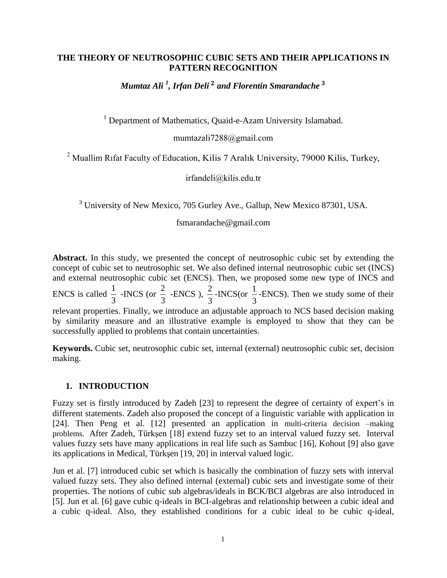## **THE THEORY OF NEUTROSOPHIC CUBIC SETS AND THEIR APPLICATIONS IN PATTERN RECOGNITION**

*Mumtaz Ali <sup>1</sup> , Irfan Deli and Florentin Smarandache*

<sup>1</sup> Department of Mathematics, Quaid-e-Azam University Islamabad.

[mumtazali7288@gmail.com](mailto:mumtazali770@yahoo.com)

<sup>2</sup> Muallim Rifat Faculty of Education, Kilis 7 Aralık University, 79000 Kilis, Turkey,

irfandeli@kilis.edu.tr

<sup>3</sup> University of New Mexico, 705 Gurley Ave., Gallup, New Mexico 87301, USA.

[fsmarandache@gmail.com](mailto:fsmarandache@gmail.com)

**Abstract.** In this study, we presented the concept of neutrosophic cubic set by extending the concept of cubic set to neutrosophic set. We also defined internal neutrosophic cubic set (INCS) and external neutrosophic cubic set (ENCS). Then, we proposed some new type of INCS and ENCS is called  $\frac{1}{2}$ 3 -INCS (or  $\frac{2}{3}$ 3 -ENCS),  $\frac{2}{3}$ 3 -INCS(or  $\frac{1}{2}$ 3 -ENCS). Then we study some of their relevant properties. Finally, we introduce an adjustable approach to NCS based decision making by similarity measure and an illustrative example is employed to show that they can be successfully applied to problems that contain uncertainties.

**Keywords.** Cubic set, neutrosophic cubic set, internal (external) neutrosophic cubic set, decision making.

## **1. INTRODUCTION**

Fuzzy set is firstly introduced by Zadeh [23] to represent the degree of certainty of expert's in different statements. Zadeh also proposed the concept of a linguistic variable with application in [24]. Then Peng et al. [12] presented an application in multi-criteria decision –making problems. After Zadeh, Türkşen [18] extend fuzzy set to an interval valued fuzzy set. Interval values fuzzy sets have many applications in real life such as Sambuc [16], Kohout [9] also gave its applications in Medical, Türkşen [19, 20] in interval valued logic.

Jun et al. [7] introduced cubic set which is basically the combination of fuzzy sets with interval valued fuzzy sets. They also defined internal (external) cubic sets and investigate some of their properties. The notions of cubic sub algebras/ideals in BCK/BCI algebras are also introduced in [5]. Jun et al. [6] gave cubic q-ideals in BCI-algebras and relationship between a cubic ideal and a cubic q-ideal. Also, they established conditions for a cubic ideal to be cubic q-ideal,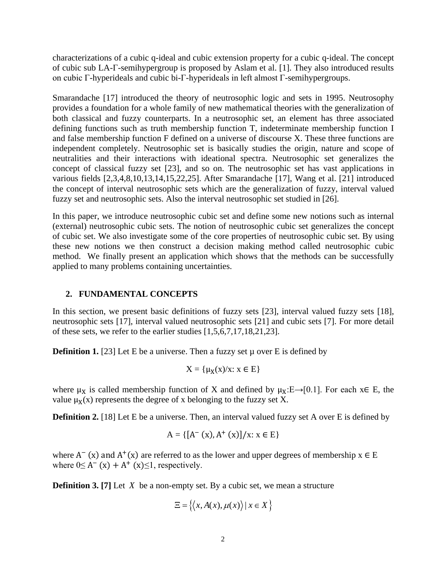characterizations of a cubic q-ideal and cubic extension property for a cubic q-ideal. The concept of cubic sub LA-Γ-semihypergroup is proposed by Aslam et al. [1]. They also introduced results on cubic Γ-hyperideals and cubic bi-Γ-hyperideals in left almost Γ-semihypergroups.

Smarandache [17] introduced the theory of neutrosophic logic and sets in 1995. Neutrosophy provides a foundation for a whole family of new mathematical theories with the generalization of both classical and fuzzy counterparts. In a neutrosophic set, an element has three associated defining functions such as truth membership function T, indeterminate membership function I and false membership function F defined on a universe of discourse X. These three functions are independent completely. Neutrosophic set is basically studies the origin, nature and scope of neutralities and their interactions with ideational spectra. Neutrosophic set generalizes the concept of classical fuzzy set [23], and so on. The neutrosophic set has vast applications in various fields [2,3,4,8,10,13,14,15,22,25]. After Smarandache [17], Wang et al. [21] introduced the concept of interval neutrosophic sets which are the generalization of fuzzy, interval valued fuzzy set and neutrosophic sets. Also the interval neutrosophic set studied in [26].

In this paper, we introduce neutrosophic cubic set and define some new notions such as internal (external) neutrosophic cubic sets. The notion of neutrosophic cubic set generalizes the concept of cubic set. We also investigate some of the core properties of neutrosophic cubic set. By using these new notions we then construct a decision making method called neutrosophic cubic method. We finally present an application which shows that the methods can be successfully applied to many problems containing uncertainties.

# **2. FUNDAMENTAL CONCEPTS**

In this section, we present basic definitions of fuzzy sets [23], interval valued fuzzy sets [18], neutrosophic sets [17], interval valued neutrosophic sets [21] and cubic sets [7]. For more detail of these sets, we refer to the earlier studies [1,5,6,7,17,18,21,23].

**Definition 1.** [23] Let E be a universe. Then a fuzzy set  $\mu$  over E is defined by

$$
X = \{ \mu_X(x)/x \colon x \in E \}
$$

where  $\mu_X$  is called membership function of X and defined by  $\mu_X: E \rightarrow [0.1]$ . For each  $x \in E$ , the value  $\mu_X(x)$  represents the degree of x belonging to the fuzzy set X.

**Definition 2.** [18] Let E be a universe. Then, an interval valued fuzzy set A over E is defined by

$$
A = \{ [A^-(x), A^+(x)]/x : x \in E \}
$$

where  $A^{-}(x)$  and  $A^{+}(x)$  are referred to as the lower and upper degrees of membership  $x \in E$ where  $0 \leq A^-$  (x) +  $A^+$  (x) $\leq 1$ , respectively.

**Definition 3.** [7] Let X be a non-empty set. By a cubic set, we mean a structure

$$
\Xi = \{ \langle x, A(x), \mu(x) \rangle \mid x \in X \}
$$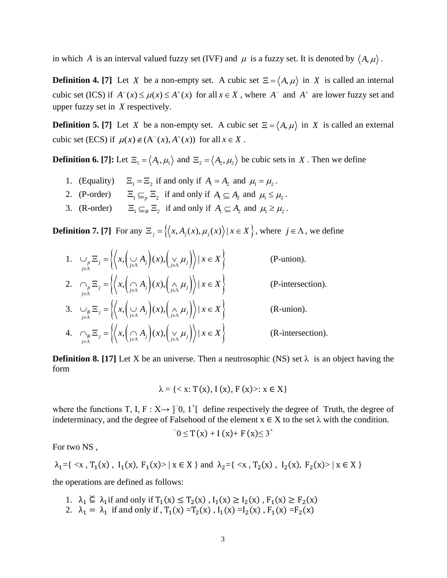in which A is an interval valued fuzzy set (IVF) and  $\mu$  is a fuzzy set. It is denoted by  $\langle A, \mu \rangle$ .

**Definition 4.** [7] Let *X* be a non-empty set. A cubic set  $\Xi = \langle A, \mu \rangle$  in *X* is called an internal cubic set (ICS) if  $A^{-}(x) \le \mu(x) \le A^{+}(x)$  for all  $x \in X$ , where  $A^{-}$  and  $A^{+}$  are lower fuzzy set and upper fuzzy set in *X* respectively.

**Definition 5.** [7] Let *X* be a non-empty set. A cubic set  $\Xi = \langle A, \mu \rangle$  in *X* is called an external cubic set (ECS) if  $\mu(x) \notin (A^-(x), A^+(x))$  for all  $x \in X$ .

**Definition 6. [7]:** Let  $\Xi_1 = \langle A_1, \mu_1 \rangle$  and  $\Xi_2 = \langle A_2, \mu_2 \rangle$  be cubic sets in X. Then we define

- 1. (Equality)  $\Xi_1 = \Xi_2$  if and only if  $A_1 = A_2$  and  $\mu_1 = \mu_2$ .
- 2. (P-order)  $\Xi_1 \subseteq_p \Xi_2$  if and only if  $A_1 \subseteq A_2$  and  $\mu_1 \leq \mu_2$ .
- 3. (R-order)  $\Xi_1 \subseteq_R \Xi_2$  if and only if  $A_1 \subseteq A_2$  and  $\mu_1 \ge \mu_2$ .

**Definition 7. [7]** For any  $\Xi_j = \{ \langle x, A_j(x), \mu_j(x) \rangle | x \in X \}$ , where  $j \in \Lambda$ , we define

1.  $\bigcup_{\substack{j \in \Lambda}} \Xi_j = \left\{ \left\langle x, \left( \bigcup_{j \in \Lambda} A_j \right) (x), \left( \bigvee_{j \in \Lambda} \mu_j \right) \right\rangle \mid x \in X \right\}$  (P-union). 2.  $\bigcap_{j \in \Lambda} \Xi_j = \left\{ \left\langle x, \left( \bigcap_{j \in \Lambda} A_j \right) (x), \left( \bigwedge_{j \in \Lambda} \mu_j \right) \right\rangle \mid x \in X \right\}$  (P-intersection). 3.  $\bigcup_{\substack{j \in \Lambda \\ j \in \Lambda}} \Xi_j = \left\{ \left\langle x, \left( \bigcup_{j \in \Lambda} A_j \right) (x), \left( \bigwedge_{j \in \Lambda} \mu_j \right) \right\rangle | x \in X \right\}$  (R-union). 4.  $R_{i \in \Lambda}$   $R_{i,j} = \left\{ \left\langle x, \left( \bigcap_{j \in \Lambda} A_j \right) (x), \left( \bigvee_{j \in \Lambda} \mu_j \right) \right\rangle | x \in X \right\}$  (R-intersection).

**Definition 8.** [17] Let X be an universe. Then a neutrosophic (NS) set  $\lambda$  is an object having the form

$$
\lambda = \{ < x \colon T(x), I(x), F(x) > x \in X \}
$$

where the functions T, I, F :  $X \rightarrow$  [ $\overline{0}$ , 1<sup>+</sup>[ define respectively the degree of Truth, the degree of indeterminacy, and the degree of Falsehood of the element  $x \in X$  to the set  $\lambda$  with the condition.

$$
0 \leq T(x) + I(x) + F(x) \leq 3^{+}
$$

For two NS ,

$$
\lambda_1 = \{ \langle x, T_1(x), I_1(x), F_1(x) \rangle \mid x \in X \} \text{ and } \lambda_2 = \{ \langle x, T_2(x), I_2(x), F_2(x) \rangle \mid x \in X \}
$$

the operations are defined as follows:

- 1.  $\lambda_1 \subseteq \lambda_1$  if and only if  $T_1(x) \le T_2(x)$ ,  $I_1(x) \ge I_2(x)$ ,  $F_1(x) \ge F_2(x)$
- 2.  $\lambda_1 = \lambda_1$  if and only if,  $T_1(x) = T_2(x)$ ,  $I_1(x) = I_2(x)$ ,  $F_1(x) = F_2(x)$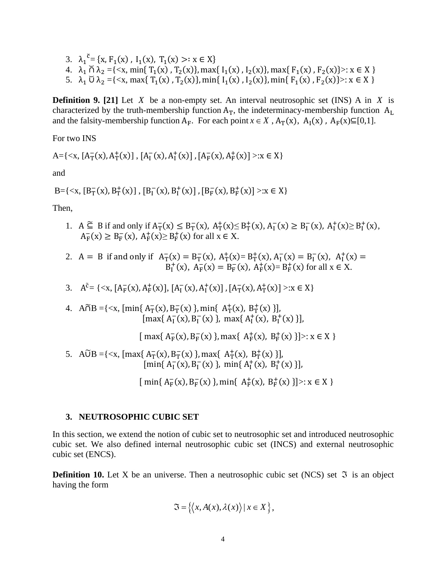- 3.  $\lambda_1^{\bar{c}} = \{x, F_1(x), I_1(x), T_1(x) >: x \in X\}$
- 4.  $\lambda_1 \cap \lambda_2 = \{ \langle x, \min\{T_1(x), T_2(x)\}, \max\{I_1(x), I_2(x)\}, \max\{F_1(x), F_2(x)\} \rangle : x \in X \}$
- 5.  $\lambda_1$  Ŭ  $\lambda_2 = \{ \langle x, \max\{T_1(x), T_2(x)\}, \min\{I_1(x), I_2(x)\}, \min\{F_1(x), F_2(x)\} \rangle : x \in X \}$

**Definition 9.** [21] Let  $X$  be a non-empty set. An interval neutrosophic set (INS) A in  $X$  is characterized by the truth-membership function  $A_T$ , the indeterminacy-membership function  $A_L$ and the falsity-membership function  $A_F$ . For each point  $x \in X$ ,  $A_T(x)$ ,  $A_I(x)$ ,  $A_F(x) \subseteq [0,1]$ .

For two INS

A={ $\langle x, [A_T^{-}(x), A_T^{+}(x)] , [A_I^{-}(x), A_I^{+}(x)] , [A_F^{-}(x), A_F^{+}(x)] \rangle : x \in X$ }

and

B={<x, [B<sub>T</sub>(x), B<sub>T</sub><sup>+</sup>(x)], [B<sub>I</sub><sup>-</sup>(x), B<sub>I</sub><sup>+</sup>(x)], [B<sub>F</sub>(x), B<sub>F</sub><sup>+</sup>(x)] >:x  $\in$  X}

Then,

- 1. A  $\widetilde{\subseteq}$  B if and only if  $A_T^-(x) \leq B_T^-(x)$ ,  $A_T^+(x) \leq B_T^+(x)$ ,  $A_I^-(x) \geq B_I^-(x)$ ,  $A_I^+(x) \geq B_I^+(x)$ ,  $A_F^-(x) \ge B_F^-(x)$ ,  $A_F^+(x) \ge B_F^+(x)$  for all  $x \in X$ .
- 2. A = B if and only if  $A_T^-(x) = B_T^-(x)$ ,  $A_T^+(x) = B_T^+(x)$ ,  $A_I^-(x) = B_I^-(x)$ ,  $A_I^+(x) =$  $B_{I}^{+}(x)$ ,  $A_{F}^{-}(x) = B_{F}^{-}(x)$ ,  $A_{F}^{+}(x) = B_{F}^{+}(x)$  for all  $x \in X$ .
- 3.  $A^{\tilde{c}} = \{ \langle x, [A_F^{-}(x), A_F^{+}(x)], [A_I^{-}(x), A_I^{+}(x)], [A_T^{-}(x), A_T^{+}(x)] \rangle : x \in X \}$
- 4.  $\widehat{A} \cap B = \{ \langle x, \, [min\{A_T^{-}(x), B_T^{-}(x)\}, \min\{A_T^{+}(x), B_T^{+}(x)\} ] \}$  $[\max\{A_I^{-}(x), B_I^{-}(x)\}, \max\{A_I^{+}(x), B_I^{+}(x)\}].$

 $[$  max{  $A_F^-(x)$ ,  $B_F^-(x)$ }, max{  $A_F^+(x)$ ,  $B_F^+(x)$ }}>:  $x \in X$  }

5. A $\widetilde{U}B = \{ \langle x, [\max\{A_T^{-}(x), B_T^{-}(x)\}, \max\{A_T^{+}(x), B_T^{+}(x)\} ] \}$  $[\min\{A_I^-(x), B_I^-(x)\}, \min\{A_I^+(x), B_I^+(x)\}].$ 

 $[\min\{A_F^-(x), B_F^-(x)\}, \min\{A_F^+(x), B_F^+(x)\}] >: x \in X$ 

### **3. NEUTROSOPHIC CUBIC SET**

In this section, we extend the notion of cubic set to neutrosophic set and introduced neutrosophic cubic set. We also defined internal neutrosophic cubic set (INCS) and external neutrosophic cubic set (ENCS).

**Definition 10.** Let X be an universe. Then a neutrosophic cubic set (NCS) set  $\Im$  is an object having the form

$$
\mathfrak{S} = \{ \langle x, A(x), \lambda(x) \rangle \mid x \in X \},\
$$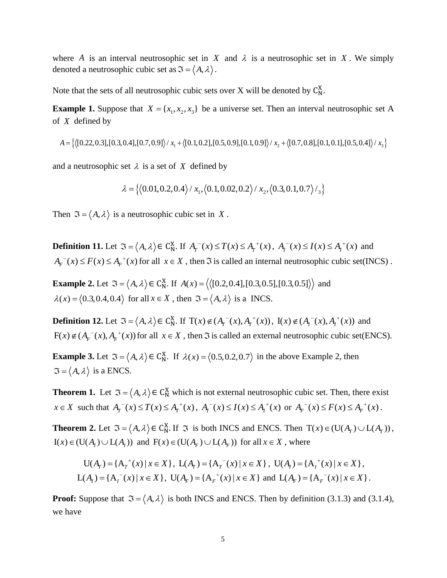where A is an interval neutrosophic set in X and  $\lambda$  is a neutrosophic set in X. We simply denoted a neutrosophic cubic set as  $\mathfrak{I} = \langle A, \lambda \rangle$ .

Note that the sets of all neutrosophic cubic sets over X will be denoted by  $C_N^X$ .

**Example 1.** Suppose that  $X = \{x_1, x_2, x_3\}$  be a universe set. Then an interval neutrosophic set A of X defined by<br>  $A = \{ \langle [0.22, 0.3], [0.3, 0.4], [0.7, 0.9] \rangle / x_1 + \langle [0.1, 0.2], [0.5, 0.9], [0.1, 0.9] \rangle / x_2 + \langle [0.7, 0.8], [0.1, 0$ of *X* defined by

$$
A = \left\{ \left( [0.22, 0.3], [0.3, 0.4], [0.7, 0.9] \right) / x_1 + \left\{ [0.1, 0.2], [0.5, 0.9], [0.1, 0.9] \right\} / x_2 + \left\{ [0.7, 0.8], [0.1, 0.1], [0.5, 0.4] \right\} / x_3 \right\}
$$

and a neutrosophic set  $\lambda$  is a set of X defined by

$$
\lambda = \{(0.01, 0.2, 0.4) / x_1, (0.1, 0.02, 0.2) / x_2, (0.3, 0.1, 0.7) / \frac{1}{3}\}
$$

Then  $\mathfrak{I} = \langle A, \lambda \rangle$  is a neutrosophic cubic set in X.

**Definition 11.** Let  $\Im = \langle A, \lambda \rangle \in C_N^X$ . If  $A_T^-(x) \le T(x) \le A_T^+(x)$ ,  $A_T^-(x) \le I(x) \le A_T^+(x)$  and  $A_F^{-1}(x) \le F(x) \le A_F^{+}(x)$  for all  $x \in X$ , then  $\Im$  is called an internal neutrosophic cubic set(INCS).

**Example 2.** Let  $\Im = \langle A, \lambda \rangle \in C_N^X$ . If  $A(x) = \langle \langle [0.2, 0.4], [0.3, 0.5], [0.3, 0.5] \rangle \rangle$  and  $\lambda(x) = \langle 0.3, 0.4, 0.4 \rangle$  for all  $x \in X$ , then  $\Im = \langle A, \lambda \rangle$  is a INCS.

**Definition 12.** Let  $\mathfrak{I} = \langle A, \lambda \rangle \in C_N^X$ . If  $T(x) \notin (A_T^-(x), A_T^+(x))$ ,  $I(x) \notin (A_I^-(x), A_I^+(x))$  and  $F(x) \notin (A_F^{-1}(x), A_F^{+}(x))$  for all  $x \in X$ , then  $\Im$  is called an external neutrosophic cubic set(ENCS).

**Example 3.** Let  $\mathfrak{I} = \langle A, \lambda \rangle \in C_N^X$ . If  $\lambda(x) = \langle 0.5, 0.2, 0.7 \rangle$  in the above Example 2, then  $\mathfrak{I} = \langle A, \lambda \rangle$  is a ENCS.

**Theorem 1.** Let  $\mathfrak{I} = \langle A, \lambda \rangle \in C_N^X$  which is not external neutrosophic cubic set. Then, there exist  $x \in X$  such that  $A_T^{-1}(x) \le T(x) \le A_T^{+}(x)$ ,  $A_T^{-1}(x) \le I(x) \le A_T^{+}(x)$  or  $A_F^{-1}(x) \le F(x) \le A_F^{+}(x)$ .

**Theorem 2.** Let  $\Im = \langle A, \lambda \rangle \in C_N^X$ . If  $\Im$  is both INCS and ENCS. Then  $T(x) \in (U(A_T) \cup L(A_T))$ ,  $I(x) \in (U(A<sub>I</sub>) \cup L(A<sub>I</sub>) )$  and  $F(x) \in (U(A<sub>F</sub>) \cup L(A<sub>F</sub>))$  for all  $x \in X$ , where

$$
U(A_r) = \{A_r^+(x) \mid x \in X\}, \ L(A_r) = \{A_r^-(x) \mid x \in X\}, \ U(A_l) = \{A_l^+(x) \mid x \in X\},
$$
  

$$
L(A_l) = \{A_l^-(x) \mid x \in X\}, \ U(A_r) = \{A_r^+(x) \mid x \in X\} \text{ and } L(A_r) = \{A_r^-(x) \mid x \in X\}.
$$

**Proof:** Suppose that  $\mathfrak{I} = \langle A, \lambda \rangle$  is both INCS and ENCS. Then by definition (3.1.3) and (3.1.4), we have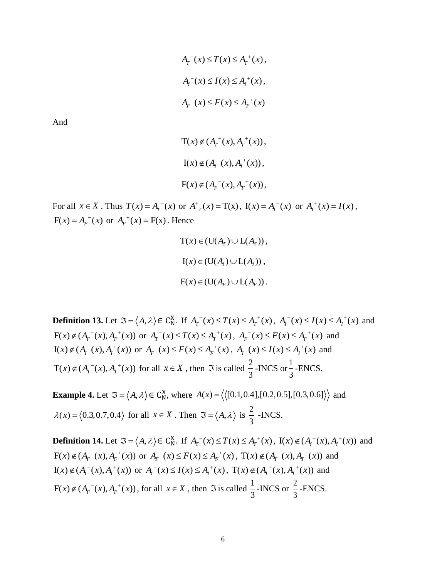$$
A_{T}^{-}(x) \leq T(x) \leq A_{T}^{+}(x),
$$
  
\n
$$
A_{T}^{-}(x) \leq I(x) \leq A_{T}^{+}(x),
$$
  
\n
$$
A_{F}^{-}(x) \leq F(x) \leq A_{F}^{+}(x)
$$

And

$$
T(x) \notin (A_{\Gamma}^-(x), A_{\Gamma}^+(x)),
$$
  
\n
$$
I(x) \notin (A_{\Gamma}^-(x), A_{\Gamma}^+(x)),
$$
  
\n
$$
F(x) \notin (A_{\Gamma}^-(x), A_{\Gamma}^+(x)),
$$

For all  $x \in X$ . Thus  $T(x) = A_T^-(x)$  or  $A^+(x) = T(x)$ ,  $I(x) = A_T^-(x)$  or  $A_T^+(x) = I(x)$ ,  $F(x) = A_F^-(x)$  or  $A_F^+(x) = F(x)$ . Hence

$$
T(x) \in (U(Ar) \cup L(Ar)),
$$
  
\n
$$
I(x) \in (U(Ar) \cup L(Ar)),
$$
  
\n
$$
F(x) \in (U(Ar) \cup L(Ar)).
$$

**Definition 13.** Let  $\Im = \langle A, \lambda \rangle \in C_N^X$ . If  $A_T^{-1}(x) \le T(x) \le A_T^{+}(x)$ ,  $A_T^{-1}(x) \le I(x) \le A_T^{+}(x)$  and  $F(x) \notin (A_F^-(x), A_F^+(x))$  or  $A_T^-(x) \le T(x) \le A_T^+(x), A_F^-(x) \le F(x) \le A_F^+(x)$  and  $I(x) \notin (A^{-1}(x), A^{+}(x))$  or  $A^{-1}(x) \leq F(x) \leq A^{-1}(x), A^{-1}(x) \leq I(x) \leq A^{+}(x)$  and  $T(x) \notin (A_T^-(x), A_T^+(x))$  for all  $x \in X$ , then  $\Im$  is called  $\frac{2}{3}$ 3 -INCS or  $\frac{1}{2}$ 3 -ENCS.

**Example 4.** Let  $\Im = \langle A, \lambda \rangle \in C_N^X$ , where  $A(x) = \langle \langle [0.1, 0.4], [0.2, 0.5], [0.3, 0.6] \rangle \rangle$  and  $\lambda(x) = \langle 0.3, 0.7, 0.4 \rangle$  for all  $x \in X$ . Then  $\Im = \langle A, \lambda \rangle$  is  $\frac{2}{3}$ 3 -INCS.

**Definition 14.** Let  $\mathfrak{I} = \langle A, \lambda \rangle \in C_N^X$ . If  $A_T^{-1}(x) \leq T(x) \leq A_T^{+}(x)$ ,  $I(x) \notin (A_I^{-1}(x), A_I^{+}(x))$  and  $F(x) \notin (A_F^{-1}(x), A_F^{-1}(x))$  or  $A_F^{-1}(x) \le F(x) \le A_F^{-1}(x)$ ,  $T(x) \notin (A_F^{-1}(x), A_F^{-1}(x))$  and  $I(x) \notin (A_I^-(x), A_I^+(x))$  or  $A_I^-(x) \le I(x) \le A_I^+(x)$ ,  $T(x) \notin (A_I^-(x), A_I^+(x))$  and  $F(x) \notin (A_F^{-1}(x), A_F^{-+}(x))$ , for all  $x \in X$ , then  $\Im$  is called  $\frac{1}{3}$ 3 -INCS or  $\frac{2}{3}$ 3 -ENCS.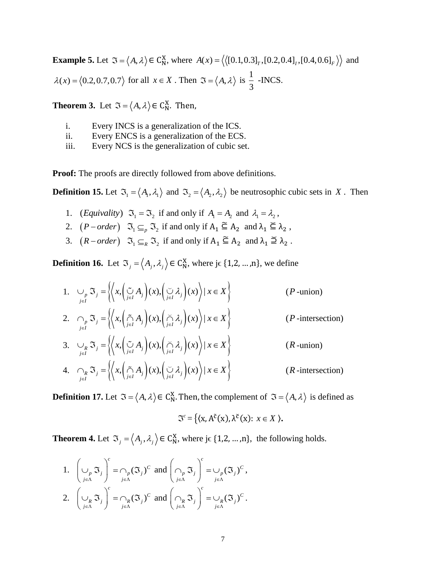**Example 5.** Let  $\mathfrak{I} = \langle A, \lambda \rangle \in C_N^X$ , where  $A(x) = \langle \langle [0.1, 0.3]_T, [0.2, 0.4]_I, [0.4, 0.6]_F \rangle \rangle$  and  $\lambda(x) = \langle 0.2, 0.7, 0.7 \rangle$  for all  $x \in X$ . Then  $\Im = \langle A, \lambda \rangle$  is  $\frac{1}{2}$ 3 -INCS.

**Theorem 3.** Let  $\mathfrak{I} = \langle A, \lambda \rangle \in C_{\mathbb{N}}^{X}$ . Then,

- i. Every INCS is a generalization of the ICS.
- ii. Every ENCS is a generalization of the ECS.
- iii. Every NCS is the generalization of cubic set.

**Proof:** The proofs are directly followed from above definitions.

**Definition 15.** Let  $\mathfrak{I}_1 = \langle A_1, \lambda_1 \rangle$  and  $\mathfrak{I}_2 = \langle A_2, \lambda_2 \rangle$  be neutrosophic cubic sets in X. Then

- 1. (*Equivality*)  $\mathfrak{I}_1 = \mathfrak{I}_2$  if and only if  $A_1 = A_2$  and  $\lambda_1 = \lambda_2$ ,
- 2.  $(P-order)$   $\mathfrak{I}_{1} \subseteq_{p} \mathfrak{I}_{2}$  if and only if  $A_{1} \subseteq A_{2}$  and  $\lambda_{1} \subseteq \lambda_{2}$ ,
- 3.  $(R-order)$   $\mathfrak{I}_{1} \subseteq_{R} \mathfrak{I}_{2}$  if and only if  $A_{1} \subseteq A_{2}$  and  $\lambda_{1} \supseteq \lambda_{2}$ .

**Definition 16.** Let  $\mathfrak{T}_j = \langle A_j, \lambda_j \rangle \in \mathbb{C}_{\mathbb{N}}^{\mathbb{X}}$ , where j $\in \{1, 2, ..., n\}$ , we define

- 1.  $\bigcup_{\substack{j \in I}} \mathfrak{I}_j = \left\{ \left\langle x, \left( \bigcup_{j \in I} A_j \right) (x), \left( \bigcup_{j \in I} \lambda_j \right) (x) \right\rangle | x \in X \right\}$  (*P*-union)
- 2.  $\bigcap_{j \in I} \mathfrak{I}_j = \left\{ \left\langle x, \left( \bigcap_{j \in I}^{\infty} A_j \right) (x), \left( \bigcap_{j \in I}^{\infty} \lambda_j \right) (x) \right\rangle | x \in X \right\}$  (*P*-intersection)

3. 
$$
\bigcup_{j \in I} \mathfrak{S}_j = \left\{ \left( x, \left( \bigcup_{j \in I}^{\infty} A_j \right) (x), \left( \bigcap_{j \in I}^{\infty} \lambda_j \right) (x) \right) \mid x \in X \right\}
$$
 (*R*-union)

4. 
$$
\bigcap_{j \in I} \mathfrak{I}_j = \left\{ \left\langle x, \left( \bigcap_{j \in I} A_j \right) (x), \left( \bigcup_{j \in I} \lambda_j \right) (x) \right\rangle | x \in X \right\}
$$
 (*R*-intersection)

**Definition 17.** Let  $\mathfrak{I} = \langle A, \lambda \rangle \in C_N^X$ . Then, the complement of  $\mathfrak{I} = \langle A, \lambda \rangle$  is defined as

$$
\mathfrak{J}^c = \{ (x, A^{\tilde{c}}(x), \lambda^{\tilde{c}}(x): x \in X),
$$

**Theorem 4.** Let  $\mathfrak{T}_j = \langle A_j, \lambda_j \rangle \in \mathbb{C}_{\mathbb{N}}^{\mathbb{X}}$ , where j $\in \{1, 2, ..., n\}$ , the following holds.

1. 
$$
\left(\bigcup_{j \in \Lambda} \mathfrak{J}_j\right)^c = \bigcap_{j \in \Lambda} (\mathfrak{J}_j)^c
$$
 and  $\left(\bigcap_{j \in \Lambda} \mathfrak{J}_j\right)^c = \bigcup_{j \in \Lambda} (\mathfrak{J}_j)^c$ ,  
\n2.  $\left(\bigcup_{j \in \Lambda} \mathfrak{J}_j\right)^c = \bigcap_{j \in \Lambda} (\mathfrak{J}_j)^c$  and  $\left(\bigcap_{j \in \Lambda} \mathfrak{J}_j\right)^c = \bigcup_{j \in \Lambda} (\mathfrak{J}_j)^c$ .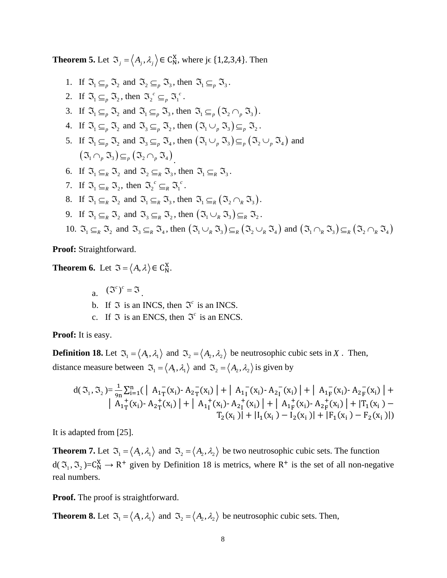**Theorem 5.** Let  $\mathfrak{T}_j = \langle A_j, \lambda_j \rangle \in C_N^X$ , where j $\in \{1, 2, 3, 4\}$ . Then

\n- 1. If 
$$
\mathfrak{I}_{1} \subseteq_{p} \mathfrak{I}_{2}
$$
 and  $\mathfrak{I}_{2} \subseteq_{p} \mathfrak{I}_{3}$ , then  $\mathfrak{I}_{1} \subseteq_{p} \mathfrak{I}_{3}$ .
\n- 2. If  $\mathfrak{I}_{1} \subseteq_{p} \mathfrak{I}_{2}$ , then  $\mathfrak{I}_{2} \subseteq_{p} \mathfrak{I}_{3} \subseteq_{p} \mathfrak{I}_{3}$ .
\n- 3. If  $\mathfrak{I}_{1} \subseteq_{p} \mathfrak{I}_{2}$  and  $\mathfrak{I}_{1} \subseteq_{p} \mathfrak{I}_{3}$ , then  $\mathfrak{I}_{1} \subseteq_{p} (\mathfrak{I}_{2} \cap_{p} \mathfrak{I}_{3})$ .
\n- 4. If  $\mathfrak{I}_{1} \subseteq_{p} \mathfrak{I}_{2}$  and  $\mathfrak{I}_{3} \subseteq_{p} \mathfrak{I}_{2}$ , then  $(\mathfrak{I}_{1} \cup_{p} \mathfrak{I}_{3}) \subseteq_{p} \mathfrak{I}_{2}$ .
\n- 5. If  $\mathfrak{I}_{1} \subseteq_{p} \mathfrak{I}_{2}$  and  $\mathfrak{I}_{3} \subseteq_{p} \mathfrak{I}_{4}$ , then  $(\mathfrak{I}_{1} \cup_{p} \mathfrak{I}_{3}) \subseteq_{p} (\mathfrak{I}_{2} \cup_{p} \mathfrak{I}_{4})$ .
\n- 6. If  $\mathfrak{I}_{1} \subseteq_{R} \mathfrak{I}_{2}$  and  $\mathfrak{I}_{2} \subseteq_{R} \mathfrak{I}_{3}$ , then  $\mathfrak{I}_{1} \subseteq_{R} \mathfrak{I}_{3}$ .
\n- 7. If  $\mathfrak{I}_{1} \subseteq_{R} \mathfrak{I}_{2}$ , then  $\mathfrak{I}_{2} \subseteq_{R} \mathfrak{I}_{3}$ , then  $\mathfrak{I}_{1} \subseteq_{R} \mathfrak{I}_{3}$ .
\n- 8. If  $\mathfrak{I}_{1}$

**Proof:** Straightforward.

**Theorem 6.** Let  $\mathfrak{I} = \langle A, \lambda \rangle \in C_N^X$ .

- a.  $({\mathfrak{F}}^c)^c = {\mathfrak{F}}$ .
- b. If  $\Im$  is an INCS, then  $\Im^c$  is an INCS.
- c. If  $\Im$  is an ENCS, then  $\Im^c$  is an ENCS.

**Proof:** It is easy.

**Definition 18.** Let  $\mathfrak{I}_1 = \langle A_1, \lambda_1 \rangle$  and  $\mathfrak{I}_2 = \langle A_2, \lambda_2 \rangle$  be neutrosophic cubic sets in X. Then, distance measure between  $\mathfrak{S}_1 = \langle A_1, \lambda_1 \rangle$  and  $\mathfrak{S}_2 = \langle A_2, \lambda_2 \rangle$  is given by

$$
d(\mathfrak{I}_{1},\mathfrak{I}_{2})\!=\!\frac{1}{9n}\!\sum_{i=1}^{n}\!\big(\left|\begin{array}{c|c}A_{1T}^{-}(x_{i})\!\cdot A_{2T}^{-}(x_{i})\end{array}\right|\!+\left|\begin{array}{c|c}A_{1T}^{-}(x_{i})\!\cdot A_{2T}^{-}(x_{i})\end{array}\right|\!+\left|\begin{array}{c|c}A_{1T}^{-}(x_{i})\!\cdot A_{2T}^{-}(x_{i})\end{array}\right|\!+\!\\\qquad\qquad\left|\begin{array}{c|c}A_{1T}^{+}(x_{i})\!\cdot A_{2T}^{-}(x_{i})\end{array}\right|\!+\left|\begin{array}{c|c}A_{1T}^{+}(x_{i})\!\cdot A_{2T}^{-}(x_{i})\end{array}\right|\!+\left|\begin{array}{c|c}A_{1T}^{+}(x_{i})\!\cdot A_{2T}^{-}(x_{i})\end{array}\right|\!+\left|\begin{array}{c|c}A_{1T}^{+}(x_{i})\!\cdot A_{2T}^{-}(x_{i})\end{array}\right|\!+\left|\begin{array}{c|c}A_{1T}^{-}(x_{i})\!\cdot A_{2T}^{-}(x_{i})\end{array}\right|\!+\left|\begin{array}{c|c}A_{1T}^{-}(x_{i})\!\cdot A_{2T}^{-}(x_{i})\end{array}\right|\!+\left|\begin{array}{c|c}A_{1T}^{-}(x_{i})\!\cdot A_{2T}^{-}(x_{i})\end{array}\right|\!+\left|\begin{array}{c|c}A_{1T}^{-}(x_{i})\!\cdot A_{2T}^{-}(x_{i})\end{array}\right|\!+\left|\begin{array}{c|c}A_{1T}^{-}(x_{i})\!\cdot A_{2T}^{-}(x_{i})\end{array}\right|\!+\left|\begin{array}{c|c}A_{1T}^{-}(x_{i})\!\cdot A_{2T}^{-}(x_{i})\end{array}\right|\!+\left|\begin{array}{c|c}A_{1T}^{-}(x_{i})\!\cdot A_{2T}^{-}(x_{i})\end{array}\right|\!+\left|\begin{array}{c|c}A_{1T}^{-}(x_{i})\!\cdot A_{2T}^{-}(x_{i})\end{array}\right|\!+\left|\begin{array}{c|c}A_{1T}^{-}(x_{i})\!\cdot A_{2T}^{-}(x_{i})\end{array}\right|\!+\
$$

It is adapted from [25].

**Theorem 7.** Let  $\mathfrak{I}_1 = \langle A_1, \lambda_1 \rangle$  and  $\mathfrak{I}_2 = \langle A_2, \lambda_2 \rangle$  be two neutrosophic cubic sets. The function  $d(\mathfrak{I}_1, \mathfrak{I}_2) = C_N^X \to R^+$  given by Definition 18 is metrics, where  $R^+$  is the set of all non-negative real numbers.

**Proof.** The proof is straightforward.

**Theorem 8.** Let  $\mathfrak{T}_1 = \langle A_1, \lambda_1 \rangle$  and  $\mathfrak{T}_2 = \langle A_2, \lambda_2 \rangle$  be neutrosophic cubic sets. Then,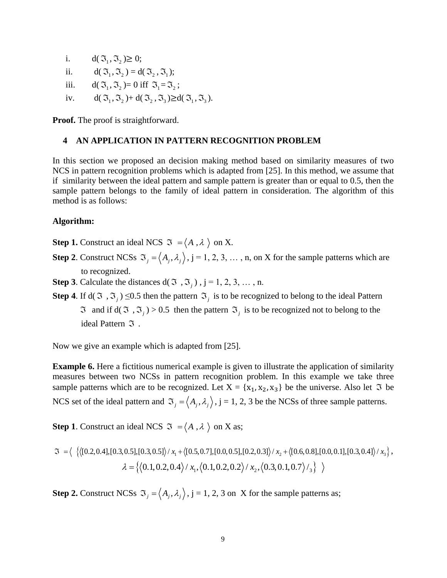i.  $d(\mathfrak{I}_1, \mathfrak{I}_2) \geq 0;$ ii.  $d(\mathfrak{I}_1, \mathfrak{I}_2) = d(\mathfrak{I}_2, \mathfrak{I}_1);$ iii.  $\mathfrak{I}_1, \mathfrak{I}_2$  = 0 iff  $\mathfrak{I}_1 = \mathfrak{I}_2$ ; iv.  $d(\mathfrak{I}_1, \mathfrak{I}_2) + d(\mathfrak{I}_2, \mathfrak{I}_3) \geq d(\mathfrak{I}_1, \mathfrak{I}_3).$ 

**Proof.** The proof is straightforward.

### **4 AN APPLICATION IN PATTERN RECOGNITION PROBLEM**

In this section we proposed an decision making method based on similarity measures of two NCS in pattern recognition problems which is adapted from [25]. In this method, we assume that if similarity between the ideal pattern and sample pattern is greater than or equal to 0.5, then the sample pattern belongs to the family of ideal pattern in consideration. The algorithm of this method is as follows:

#### **Algorithm:**

**Step 1.** Construct an ideal NCS  $\mathfrak{I} = \langle A, \lambda \rangle$  on X.

- **Step 2.** Construct NCSs  $\mathfrak{S}_j = \langle A_j, \lambda_j \rangle$ ,  $j = 1, 2, 3, ..., n$ , on X for the sample patterns which are to recognized.
- **Step 3**. Calculate the distances  $d(\mathcal{F}, \mathcal{F},)$ ,  $j = 1, 2, 3, ..., n$ .
- **Step 4**. If  $d(\mathfrak{T}, \mathfrak{T}_j) \leq 0.5$  then the pattern  $\mathfrak{T}_j$  is to be recognized to belong to the ideal Pattern  $\Im$  and if d( $\Im$ ,  $\Im$ <sub>j</sub>) > 0.5 then the pattern  $\Im$ <sub>j</sub> is to be recognized not to belong to the ideal Pattern  $\Im$ .

Now we give an example which is adapted from [25].

**Example 6.** Here a fictitious numerical example is given to illustrate the application of similarity measures between two NCSs in pattern recognition problem. In this example we take three sample patterns which are to be recognized. Let  $X = \{x_1, x_2, x_3\}$  be the universe. Also let  $\Im$  be NCS set of the ideal pattern and  $\mathfrak{S}_j = \langle A_j, \lambda_j \rangle$ , j = 1, 2, 3 be the NCSs of three sample patterns.

**Step 1**. Construct an ideal NCS  $\mathfrak{S} = \langle A, \lambda \rangle$  on X as;

Step 1. Construct an ideal NCS 
$$
\mathfrak{F} = \langle A, \lambda \rangle
$$
 on X as;  
\n
$$
\mathfrak{F} = \langle \{ \langle [0.2, 0.4], [0.3, 0.5], [0.3, 0.5] \rangle / x_1 + \langle [0.5, 0.7], [0.0, 0.5], [0.2, 0.3] \rangle / x_2 + \langle [0.6, 0.8], [0.0, 0.1], [0.3, 0.4] \rangle / x_3 \},
$$
\n
$$
\lambda = \{ \langle 0.1, 0.2, 0.4 \rangle / x_1, \langle 0.1, 0.2, 0.2 \rangle / x_2, \langle 0.3, 0.1, 0.7 \rangle / \mathfrak{z} \} \rangle
$$

**Step 2.** Construct NCSs  $\mathfrak{S}_j = \langle A_j, \lambda_j \rangle$ , j = 1, 2, 3 on X for the sample patterns as;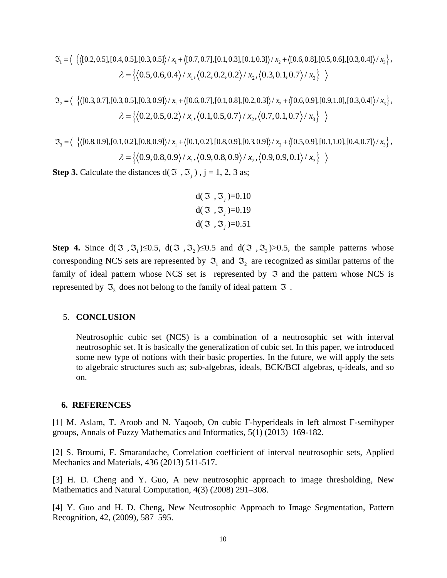0.5,0.6,0.4 / , 0.2,0.2,0.2 / , 0.3,0.1,0.7 / *x x x* 1 2 3 2 1 2 3 [0.3,0.7],[0.3,0.5],[0.3,0.9] / [0.6,0.7], *x x x* [0.1,0.8],[0.2,0.3] / [0.6,0.9],[0.9,1.0],[0.3,0.4] / ,

$$
\mathfrak{T}_2 = \langle \ \left\{ \langle [0.3, 0.7], [0.3, 0.5], [0.3, 0.9] \rangle / x_1 + \langle [0.6, 0.7], [0.1, 0.8], [0.2, 0.3] \rangle / x_2 + \langle [0.6, 0.9], [0.9, 1.0], [0.3, 0.4] \rangle / x_3 \right\},
$$
  
\n
$$
\lambda = \langle \left\{ \langle 0.2, 0.5, 0.2 \rangle / x_1, \langle 0.1, 0.5, 0.7 \rangle / x_2, \langle 0.7, 0.1, 0.7 \rangle / x_3 \right\} \ \rangle
$$
  
\n
$$
\mathfrak{T}_3 = \langle \ \left\{ \langle [0.8, 0.9], [0.1, 0.2], [0.8, 0.9] \rangle / x_1 + \langle [0.1, 0.2], [0.8, 0.9], [0.3, 0.9] \rangle / x_2 + \langle [0.5, 0.9], [0.1, 1.0], [0.4, 0.7] \rangle / x_3 \right\},
$$

$$
\mathfrak{S}_3 = \langle \ \left\{ \left( [0.8, 0.9], [0.1, 0.2], [0.8, 0.9] \right\rangle / x_1 + \left\{ [0.1, 0.2], [0.8, 0.9], [0.3, 0.9] \right\rangle / x_2 + \left\{ [0.5, 0.9], [0.1, 1.0], [0.4, 0.7] \right\rangle / x_3 \right\},
$$
  

$$
\lambda = \left\{ \left\langle 0.9, 0.8, 0.9 \right\rangle / x_1, \left\langle 0.9, 0.8, 0.9 \right\rangle / x_2, \left\langle 0.9, 0.9, 0.1 \right\rangle / x_3 \right\} \ \rangle
$$

**Step 3.** Calculate the distances  $d(\mathcal{F}, \mathcal{F},)$ ,  $j = 1, 2, 3$  as;

$$
d(\mathfrak{I}, \mathfrak{I}_j)=0.10
$$
  
 
$$
d(\mathfrak{I}, \mathfrak{I}_j)=0.19
$$
  
 
$$
d(\mathfrak{I}, \mathfrak{I}_j)=0.51
$$

3 - { ${002,0.510,0.0510,0.051/z, x$   ${007,0.710,0.051,0.1,0.31/z, x$   ${00.604,0.81,0.504,0.51/z}$ <br>
4  ${0.506,0.4/z, x$   ${0.20,0.2/z, x}$ , ${0.20,0.1,0.7/z, x}$ <br>
5  ${0.506,0.4/z, x$ , ${0.20,0.2/z, x}$ , ${0.20,0.05/z, x}$ , ${0.60,0.1,0.7/z, x}$ <br> **Step 4.** Since  $d(\Im, \Im_1) \leq 0.5$ ,  $d(\Im, \Im_2) \leq 0.5$  and  $d(\Im, \Im_3) > 0.5$ , the sample patterns whose corresponding NCS sets are represented by  $\mathfrak{I}_1$  and  $\mathfrak{I}_2$  are recognized as similar patterns of the family of ideal pattern whose NCS set is represented by  $\Im$  and the pattern whose NCS is represented by  $\mathfrak{I}_3$  does not belong to the family of ideal pattern  $\mathfrak I$ .

#### 5. **CONCLUSION**

Neutrosophic cubic set (NCS) is a combination of a neutrosophic set with interval neutrosophic set. It is basically the generalization of cubic set. In this paper, we introduced some new type of notions with their basic properties. In the future, we will apply the sets to algebraic structures such as; sub-algebras, ideals, BCK/BCI algebras, q-ideals, and so on.

#### **6. REFERENCES**

[1] M. Aslam, T. Aroob and N. Yaqoob, On cubic Γ-hyperideals in left almost Γ-semihyper groups, Annals of Fuzzy Mathematics and Informatics, 5(1) (2013) 169-182.

[2] S. Broumi, F. Smarandache, Correlation coefficient of interval neutrosophic sets, Applied Mechanics and Materials, 436 (2013) 511-517.

[3] H. D. Cheng and Y. Guo, A new neutrosophic approach to image thresholding, New Mathematics and Natural Computation, 4(3) (2008) 291–308.

[4] Y. Guo and H. D. Cheng, New Neutrosophic Approach to Image Segmentation, Pattern Recognition, 42, (2009), 587–595.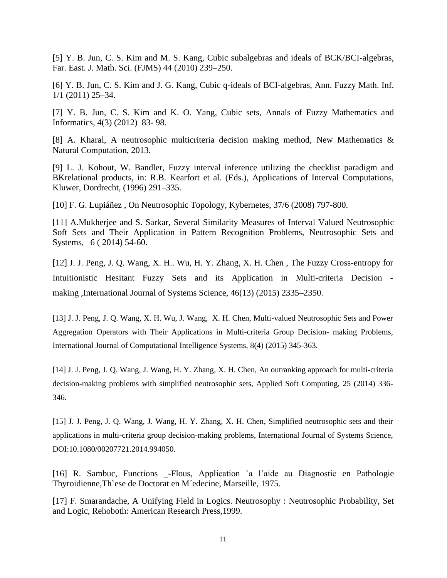[5] Y. B. Jun, C. S. Kim and M. S. Kang, Cubic subalgebras and ideals of BCK/BCI-algebras, Far. East. J. Math. Sci. (FJMS) 44 (2010) 239–250.

[6] Y. B. Jun, C. S. Kim and J. G. Kang, Cubic q-ideals of BCI-algebras, Ann. Fuzzy Math. Inf. 1/1 (2011) 25–34.

[7] Y. B. Jun, C. S. Kim and K. O. Yang, Cubic sets, Annals of Fuzzy Mathematics and Informatics, 4(3) (2012) 83- 98.

[8] A. Kharal, A neutrosophic multicriteria decision making method, New Mathematics & Natural Computation, 2013.

[9] L. J. Kohout, W. Bandler, Fuzzy interval inference utilizing the checklist paradigm and BKrelational products, in: R.B. Kearfort et al. (Eds.), Applications of Interval Computations, Kluwer, Dordrecht, (1996) 291–335.

[10] F. G. Lupiáñez , On Neutrosophic Topology, Kybernetes, 37/6 (2008) 797-800.

[11] A.Mukherjee and S. Sarkar, Several Similarity Measures of Interval Valued Neutrosophic Soft Sets and Their Application in Pattern Recognition Problems, Neutrosophic Sets and Systems, 6 ( 2014) 54-60.

[12] J. J. Peng, J. Q. Wang, X. H.. Wu, H. Y. Zhang, X. H. Chen , The Fuzzy Cross-entropy for Intuitionistic Hesitant Fuzzy Sets and its Application in Multi-criteria Decision making ,International Journal of Systems Science, 46(13) (2015) 2335–2350.

[13] J. J. Peng, J. Q. Wang, X. H. Wu, J. Wang, X. H. Chen, Multi-valued Neutrosophic Sets and Power Aggregation Operators with Their Applications in Multi-criteria Group Decision- making Problems, International Journal of Computational Intelligence Systems, 8(4) (2015) 345-363.

[14] J. J. Peng, J. Q. Wang, J. Wang, H. Y. Zhang, X. H. Chen, An outranking approach for multi-criteria decision-making problems with simplified neutrosophic sets, Applied Soft Computing, 25 (2014) 336- 346.

[15] J. J. Peng, J. Q. Wang, J. Wang, H. Y. Zhang, X. H. Chen, Simplified neutrosophic sets and their applications in multi-criteria group decision-making problems, International Journal of Systems Science, DOI:10.1080/00207721.2014.994050.

[16] R. Sambuc, Functions \_-Flous, Application `a l'aide au Diagnostic en Pathologie Thyroidienne,Th`ese de Doctorat en M´edecine, Marseille, 1975.

[17] F. Smarandache, A Unifying Field in Logics. Neutrosophy : Neutrosophic Probability, Set and Logic, Rehoboth: American Research Press,1999.